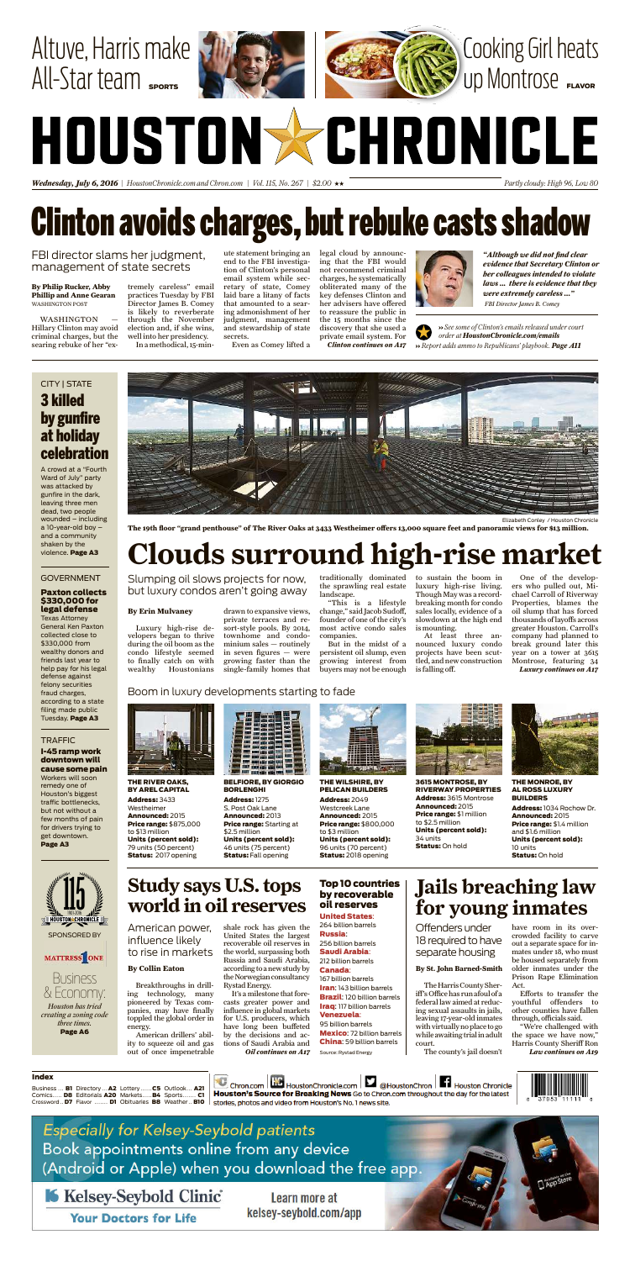*Wednesday, July 6, 2016 | HoustonChronicle.com and Chron.com | Vol. 115, No. 267|\$2.00* xx *Partly cloudy: High 96, Low80*

# Altuve, Harris make  $All-Star$  team  $sm$

# **Clinton avoids charges, but rebuke casts shadow**





# HOUSTONSCHRONICLE

### Business & Economy:



SPONSORED BY

#### MATTRESS ONE

*Houston has tried creating a zoning code three times.* Page A6

CITY

A crowd at a "Fourth"<br>Ward of July" party Ward of July" <mark>pa</mark><br>was attacked by was attacked by gunfire in the dark<mark>,</mark><br>leaving three men leaving three mer<br>dead, two people dead, two people  $w$ ounded – including a 10-year-old boy –<br>and a community and a commu<br>shaken by the shaken by the violence. Page A3

Government in the second series **GOVERNMENT** Paxton collects \$330,000 for legal defense Texas Attorney Texas Attorney<br>General Ken Paxton<br>collected close to collected close to \$330,000 from wealthy donors and<br>friends last year to friends last year to<br>help pay for his legal help pay for his legal defense agains<mark>t</mark><br>felony securities felony securities fraud charges, fraud charges,<br>according to a state

#### I-45 ramp work downtown will **cause some pain<br>Workers will soon**

Workers will soon remedy one of Houston's biggest traffic bottlenecks, but not without a but not without <mark>a</mark><br>few months of pain<br>for drivers trving to for drivers trying to get downtown. Page A3



Cooking Girl heats C

Up Montrose

| Index |  |                                                                  |
|-------|--|------------------------------------------------------------------|
|       |  | Business <b>B1</b> Directory  A2 Lottery  C5 Outlook A21 $\vert$ |
|       |  | Comics D8 Editorials A20 MarketsB4 Sports C1                     |
|       |  | Crossword D7 Flavor  D1 Obituaries B8 Weather B10                |

@HoustonChron **Houston Chronicle** Echron.com | HoustonChronicle.com | Houston's Source for Breaking News Go to Chron.com throughout the day for the latest



**Especially for Kelsey-Seybold patients** Book appointments online from any device (Android or Apple) when you download the free app.

Kelsey-Seybold Clinic

**Your Doctors for Life** 

Learn more at kelsey-seybold.com/app **Jails breaching law**

The county's jail doesn't

have room in its overcrowded facility to carve out a separate space for inmates under 18, who must be housed separately from older inmates under the Prison Rape Elimination Act.

**for young inmates** Offenders under 18 required to have separate housing

**WASHINGTON** Hillary Clinton may avoid criminal charges, but the searing rebuke of her "ex-

> Efforts to transfer the youthful offenders to other counties have fallen through, officials said.

> "We're challenged with the space we have now," Harris County Sheriff Ron

#### **By St. John Barned-Smith**

The Harris County Sheriff'sOffice has runafoul ofa federal law aimed at reducing sexual assaults in jails, leaving 17-year-old inmates with virtually no place togo while awaiting trial in adult

*Law continues on A19*



**The 19th floor "grand penthouse" of The River Oaks at 3433 Westheimer offers 13,000 square feet and panoramic views for \$13 million.**

# **Clouds surround high-rise market**

Luxury high-rise developers began to thrive during the oil boom as the condo lifestyle seemed to finally catch on with wealthy Houstonians

» See some of Clinton's emails released under court *order at HoustonChronicle.com/emails* ›› *Report adds ammo to Republicans' playbook. Page A11*

### CITY | STATE 3 killed by gunfire at holiday celebration

drawn to expansive views, private terraces and resort-style pools. By 2014, townhome and condominium sales — routinely in seven figures — were growing faster than the single-family homes that

#### BELFIORE, BY GIORGIO **BORLENGHI**

**BORLENGHI<br>Address: 1275 ddress:** 1275<br>Post Oak Lane S. Post Oak Lane<br>**Announced:** 2013 **Announced:** 2013<br>**Price range:** Starting at \$2.5 million **Units (percent sold):**<br>46 units (75 percent) 46 units (75 percent)<br>**Status:** Fall opening

traditionally dominated to sustain the boom in the sprawling real estate landscape.

"This is a lifestyle change," said Jacob Sudoff, founder of one of the city's most active condo sales companies.

> 3615 MONTROSE, BY RIVERWAY PROPERTIES<br><mark>Address:</mark> 3615 Montrose Address: 3615 Montrose<br>Announced: 2015 **Announced:** 2015<br>**Price range:** \$1 million<br>to \$2.5 million Units (percent sold): 34 units34 units **Status: On hold**



But in the midst of a persistent oil slump, even growing interest from buyers may not be enough luxury high-rise living. Though May was a recordbreaking month for condo sales locally, evidence of a slowdown at the high end is mounting.

### **Study says U.S. tops world in oil reserves**

shale rock has given the United States the largest recoverable oil reserves in the world, surpassing both Russia and Saudi Arabia, according toa new study by the Norwegian consultancy Rystad Energy.

At least three announced luxury condo projects have been scuttled, and new construction is falling off.

#### Top 10 countries by recoverable oil reserves **OIL reserves<br>United States:<br>264 billion barrels**

264 billion barrels

**Russia:**  barrels 256 billion barre<br>**Saudi Arabia**: Saudi Arabia:

#### 212 billion<br>**Canada:** Canada:

167 billion barrels Iran: 143 billion barrels **Iran**: 143 billion barrels<br>**Brazil**: 120 billion barrels Brazil: 120 billion barr<br>Iraq: 117 billion barrels <mark>Iraq:</mark> 117 billio<br>**Venezuela**:

#### 95 billion barrels

**Mexico**: 72 billion barrel<br>**China**: 59 billion barrels China: 59 billion barrels

One of the developers who pulled out, Michael Carroll of Riverway Properties, blames the oil slump that has forced thousands of layoffs across greater Houston. Carroll's company had planned to break ground later this year on a tower at 3615 Montrose, featuring 34 *Luxury continues on A17*

#### **By Erin Mulvaney**

Slumping oil slows projects for now, but luxury condos aren't going away

tremely careless" email practices Tuesday by FBI Director James B. Comey is likely to reverberate through the November election and, if she wins, well into her presidency. In a methodical, 15-min-

ute statement bringing an end to the FBI investigation of Clinton's personal email system while secretary of state, Comey laid bare a litany of facts that amounted to a searing admonishment of her judgment, management and stewardship of state secrets.

Even as Comey lifted a



legal cloud by announcing that the FBI would not recommend criminal charges, he systematically obliterated many of the key defenses Clinton and her advisers have offered to reassure the public in the 15 months since the discovery that she used a private email system. For *Clinton continues on A17*



FBI director slams her judgment, management of state secrets

**By Philip Rucker, Abby Phillip and Anne Gearan** WASHINGTON POST

*"Although we did not find clear evidence that Secretary Clinton or her colleagues intended to violate laws ... there is evidence that they were extremely careless ..." FBI Director James B. Comey*

#### THE RIVER OAKS, BY AREL CAPITAL

**BY AREL CAPI**<br>**Address:** 3433 Westheimer Announced: <sup>2015</sup> **Announced:** 2015<br>**Price range:** \$875,000<br>to \$13 million **Units (percent sold):**<br>79 units (50 percent) 79 units (50 percent)<br>**Status:** 2017 opening



#### THE WILSHIRE, BY PELICAN BUILDERS

**PELICAN BUIL**<br>**Address:** 2049 Westcreek Lane<br>**Announced:** 2015 **Announced:** 2015<br>**Price range:** \$800,000<br>to \$3 million **Units (percent sold):**<br>96 units (70 percent) 96 units (70 percent)<br>**Status:** 2018 opening



THE MONROE, BY AL ROSS LUXURY BUILDERS

**BUILDERS**<br>**Address:** 1034 Rochow Dr. Address: 1034 Ro<br>Announced: 2015 **Announced:** 2015<br>**Price range:** \$1.4 million and \$1.6 million Units (percent sold): 10 units<br>**Status:** On hold

#### Boom in luxury developments starting to fade







filing made public Tuesday. Page A3

#### <u>TRAFFIC STRAFFIC STRAFFIC STRAFFIC STRAFFIC STRAFFIC STRAFFIC STRAFFIC STRAFFIC STRAFFIC STRAFFIC STRAFFIC STR</u> **TRAFFIC**

Breakthroughs in drilling technology, many pioneered by Texas companies, may have finally toppled the global order in energy.

American drillers' ability to squeeze oil and gas out of once impenetrable

It's a milestone that forecasts greater power and influence in global markets for U.S. producers, which have long been buffeted by the decisions and actions of Saudi Arabia and *Oil continues on A17*

#### **By Collin Eaton**

American power, influence likely to rise in markets